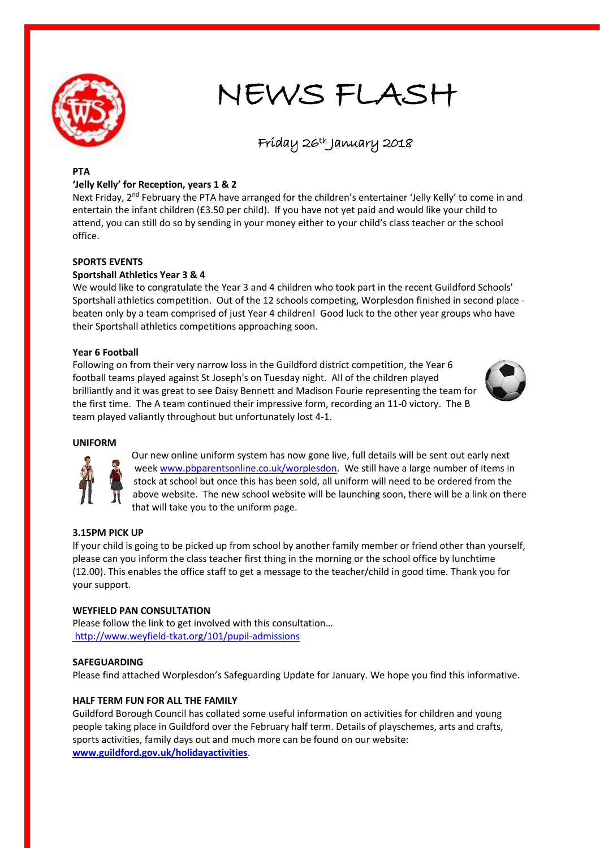

## NEWS FLASH

# Friday 26th January 2018

#### **PTA**

#### **'Jelly Kelly' for Reception, years 1 & 2**

Next Friday, 2<sup>nd</sup> February the PTA have arranged for the children's entertainer 'Jelly Kelly' to come in and entertain the infant children (£3.50 per child). If you have not yet paid and would like your child to attend, you can still do so by sending in your money either to your child's class teacher or the school office.

#### **SPORTS EVENTS**

#### **Sportshall Athletics Year 3 & 4**

We would like to congratulate the Year 3 and 4 children who took part in the recent Guildford Schools' Sportshall athletics competition. Out of the 12 schools competing, Worplesdon finished in second place beaten only by a team comprised of just Year 4 children! Good luck to the other year groups who have their Sportshall athletics competitions approaching soon.

#### **Year 6 Football**

Following on from their very narrow loss in the Guildford district competition, the Year 6 football teams played against St Joseph's on Tuesday night. All of the children played brilliantly and it was great to see Daisy Bennett and Madison Fourie representing the team for the first time. The A team continued their impressive form, recording an 11-0 victory. The B team played valiantly throughout but unfortunately lost 4-1.



#### **UNIFORM**



Our new online uniform system has now gone live, full details will be sent out early next wee[k www.pbparentsonline.co.uk/worplesdon.](http://www.pbparentsonline.co.uk/worplesdon) We still have a large number of items in stock at school but once this has been sold, all uniform will need to be ordered from the above website. The new school website will be launching soon, there will be a link on there that will take you to the uniform page.

#### **3.15PM PICK UP**

If your child is going to be picked up from school by another family member or friend other than yourself, please can you inform the class teacher first thing in the morning or the school office by lunchtime (12.00). This enables the office staff to get a message to the teacher/child in good time. Thank you for your support.

#### **WEYFIELD PAN CONSULTATION**

Please follow the link to get involved with this consultation… <http://www.weyfield-tkat.org/101/pupil-admissions>

#### **SAFEGUARDING**

Please find attached Worplesdon's Safeguarding Update for January. We hope you find this informative.

#### **HALF TERM FUN FOR ALL THE FAMILY**

Guildford Borough Council has collated some useful information on activities for children and young people taking place in Guildford over the February half term. Details of playschemes, arts and crafts, sports activities, family days out and much more can be found on our website: **[www.guildford.gov.uk/holidayactivities](http://www.guildford.gov.uk/holidayactivities)**.